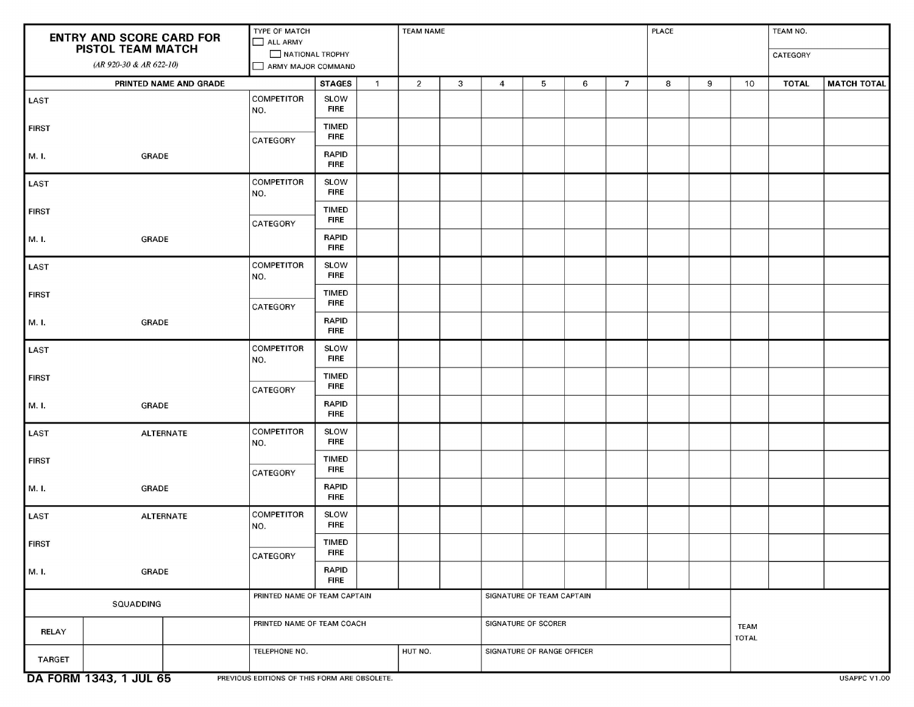| <b>ENTRY AND SCORE CARD FOR</b><br><b>PISTOL TEAM MATCH</b> |                        | TYPE OF MATCH<br>ALL ARMY<br>NATIONAL TROPHY |                             |              | <b>TEAM NAME</b>    |                           |                            |   |             | <b>PLACE</b>   |   |   | TEAM NO.     |              |                    |
|-------------------------------------------------------------|------------------------|----------------------------------------------|-----------------------------|--------------|---------------------|---------------------------|----------------------------|---|-------------|----------------|---|---|--------------|--------------|--------------------|
|                                                             |                        |                                              |                             |              |                     |                           |                            |   |             |                |   |   | CATEGORY     |              |                    |
| (AR 920-30 & AR 622-10)                                     |                        | ARMY MAJOR COMMAND                           |                             |              |                     |                           |                            |   |             |                |   |   |              |              |                    |
| PRINTED NAME AND GRADE                                      |                        |                                              | <b>STAGES</b>               | $\mathbf{1}$ | $\overline{2}$      | 3                         | $\overline{4}$             | 5 | 6           | $\overline{7}$ | 8 | 9 | 10           | <b>TOTAL</b> | <b>MATCH TOTAL</b> |
| LAST                                                        |                        | <b>COMPETITOR</b>                            | SLOW                        |              |                     |                           |                            |   |             |                |   |   |              |              |                    |
|                                                             |                        | NO.                                          | <b>FIRE</b>                 |              |                     |                           |                            |   |             |                |   |   |              |              |                    |
| <b>FIRST</b>                                                |                        |                                              | <b>TIMED</b><br><b>FIRE</b> |              |                     |                           |                            |   |             |                |   |   |              |              |                    |
|                                                             |                        | <b>CATEGORY</b>                              |                             |              |                     |                           |                            |   |             |                |   |   |              |              |                    |
| M. I.                                                       | GRADE                  |                                              | <b>RAPID</b><br><b>FIRE</b> |              |                     |                           |                            |   |             |                |   |   |              |              |                    |
| LAST                                                        |                        | <b>COMPETITOR</b>                            | SLOW                        |              |                     |                           |                            |   |             |                |   |   |              |              |                    |
|                                                             |                        | NO.                                          | FIRE                        |              |                     |                           |                            |   |             |                |   |   |              |              |                    |
| <b>FIRST</b>                                                |                        |                                              | <b>TIMED</b><br><b>FIRE</b> |              |                     |                           |                            |   |             |                |   |   |              |              |                    |
|                                                             |                        | <b>CATEGORY</b>                              | <b>RAPID</b>                |              |                     |                           |                            |   |             |                |   |   |              |              |                    |
| M. I.                                                       | <b>GRADE</b>           |                                              | <b>FIRE</b>                 |              |                     |                           |                            |   |             |                |   |   |              |              |                    |
| <b>LAST</b>                                                 |                        | <b>COMPETITOR</b><br>NO.                     | SLOW<br><b>FIRE</b>         |              |                     |                           |                            |   |             |                |   |   |              |              |                    |
| <b>FIRST</b>                                                |                        |                                              | <b>TIMED</b>                |              |                     |                           |                            |   |             |                |   |   |              |              |                    |
|                                                             |                        | <b>CATEGORY</b>                              | <b>FIRE</b>                 |              |                     |                           |                            |   |             |                |   |   |              |              |                    |
| M. I.                                                       | GRADE                  |                                              | <b>RAPID</b><br><b>FIRE</b> |              |                     |                           |                            |   |             |                |   |   |              |              |                    |
| LAST                                                        |                        | <b>COMPETITOR</b>                            | SLOW<br>FIRE                |              |                     |                           |                            |   |             |                |   |   |              |              |                    |
|                                                             |                        | NO.                                          |                             |              |                     |                           |                            |   |             |                |   |   |              |              |                    |
| <b>FIRST</b>                                                |                        | <b>CATEGORY</b>                              | <b>TIMED</b><br><b>FIRE</b> |              |                     |                           |                            |   |             |                |   |   |              |              |                    |
| M. I.                                                       | GRADE                  |                                              | <b>RAPID</b><br>FIRE        |              |                     |                           |                            |   |             |                |   |   |              |              |                    |
| LAST                                                        | <b>ALTERNATE</b>       | <b>COMPETITOR</b>                            | SLOW                        |              |                     |                           |                            |   |             |                |   |   |              |              |                    |
|                                                             |                        | NO.                                          | <b>FIRE</b>                 |              |                     |                           |                            |   |             |                |   |   |              |              |                    |
| <b>FIRST</b>                                                |                        |                                              | <b>TIMED</b><br><b>FIRE</b> |              |                     |                           |                            |   |             |                |   |   |              |              |                    |
|                                                             |                        | CATEGORY                                     | <b>RAPID</b>                |              |                     |                           |                            |   |             |                |   |   |              |              |                    |
| M. I.                                                       | <b>GRADE</b>           |                                              | <b>FIRE</b>                 |              |                     |                           |                            |   |             |                |   |   |              |              |                    |
| LAST                                                        | <b>ALTERNATE</b>       | <b>COMPETITOR</b><br>NO.                     | <b>SLOW</b><br><b>FIRE</b>  |              |                     |                           |                            |   |             |                |   |   |              |              |                    |
| <b>FIRST</b>                                                |                        |                                              | <b>TIMED</b><br><b>FIRE</b> |              |                     |                           |                            |   |             |                |   |   |              |              |                    |
| M. I.                                                       | GRADE                  | CATEGORY                                     | <b>RAPID</b>                |              |                     |                           |                            |   |             |                |   |   |              |              |                    |
|                                                             |                        |                                              | <b>FIRE</b>                 |              |                     |                           |                            |   |             |                |   |   |              |              |                    |
| SQUADDING                                                   |                        | PRINTED NAME OF TEAM CAPTAIN                 |                             |              |                     | SIGNATURE OF TEAM CAPTAIN |                            |   |             |                |   |   |              |              |                    |
| <b>RELAY</b>                                                |                        | PRINTED NAME OF TEAM COACH                   |                             |              | SIGNATURE OF SCORER |                           |                            |   | <b>TEAM</b> |                |   |   |              |              |                    |
|                                                             |                        | TELEPHONE NO.                                |                             |              | HUT NO.             |                           | SIGNATURE OF RANGE OFFICER |   |             |                |   |   | <b>TOTAL</b> |              |                    |
| <b>TARGET</b>                                               |                        |                                              |                             |              |                     |                           |                            |   |             |                |   |   |              |              |                    |
|                                                             | DA FORM 1343, 1 JUL 65 | PREVIOUS EDITIONS OF THIS FORM ARE OBSOLETE. |                             |              |                     |                           |                            |   |             |                |   |   |              |              | USAPPC V1.00       |